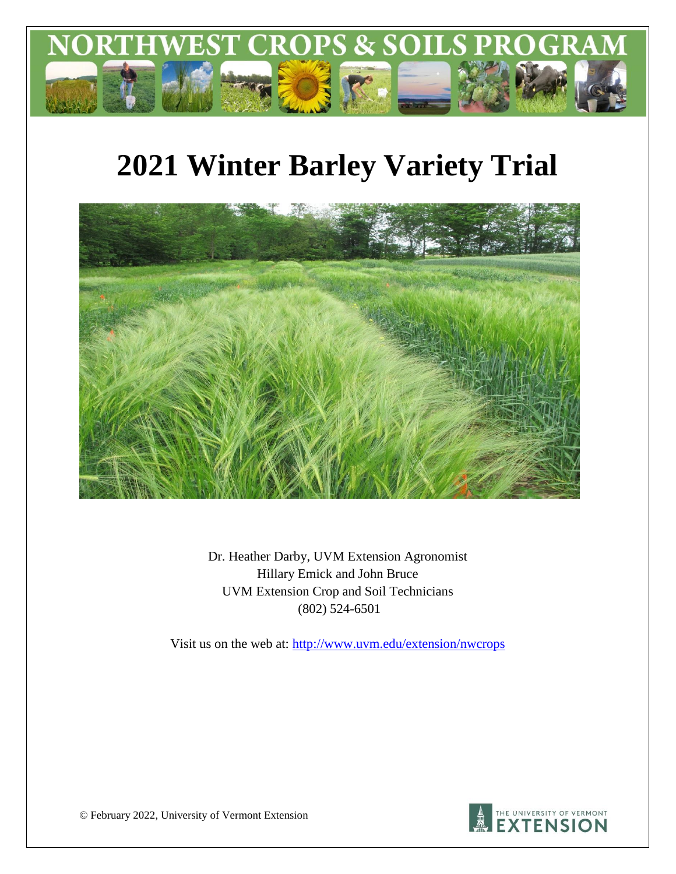

# **2021 Winter Barley Variety Trial**



Dr. Heather Darby, UVM Extension Agronomist Hillary Emick and John Bruce UVM Extension Crop and Soil Technicians (802) 524-6501

Visit us on the web at:<http://www.uvm.edu/extension/nwcrops>



© February 2022, University of Vermont Extension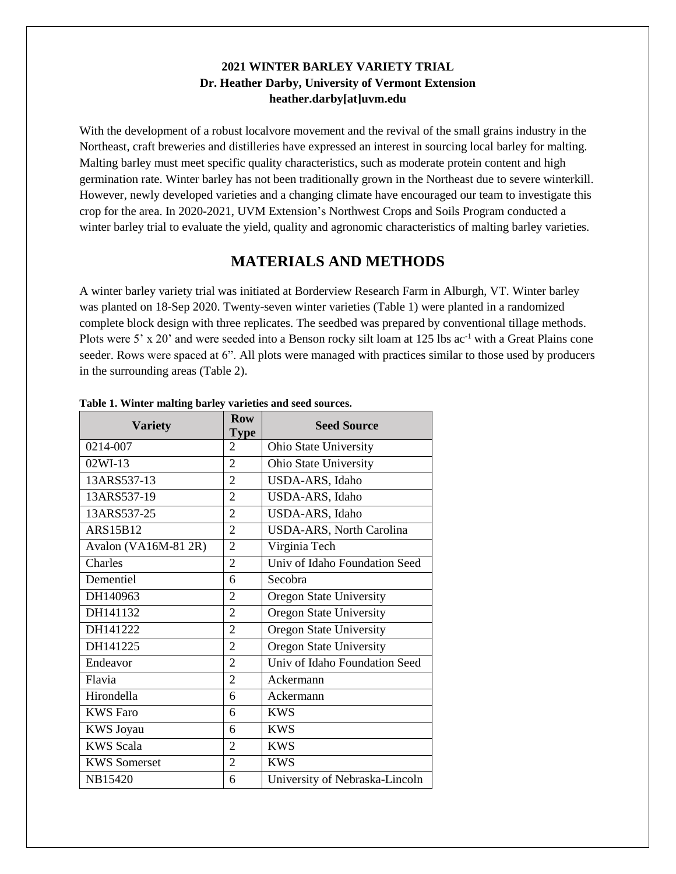#### **2021 WINTER BARLEY VARIETY TRIAL Dr. Heather Darby, University of Vermont Extension heather.darby[at]uvm.edu**

With the development of a robust localvore movement and the revival of the small grains industry in the Northeast, craft breweries and distilleries have expressed an interest in sourcing local barley for malting. Malting barley must meet specific quality characteristics, such as moderate protein content and high germination rate. Winter barley has not been traditionally grown in the Northeast due to severe winterkill. However, newly developed varieties and a changing climate have encouraged our team to investigate this crop for the area. In 2020-2021, UVM Extension's Northwest Crops and Soils Program conducted a winter barley trial to evaluate the yield, quality and agronomic characteristics of malting barley varieties.

#### **MATERIALS AND METHODS**

A winter barley variety trial was initiated at Borderview Research Farm in Alburgh, VT. Winter barley was planted on 18-Sep 2020. Twenty-seven winter varieties (Table 1) were planted in a randomized complete block design with three replicates. The seedbed was prepared by conventional tillage methods. Plots were 5' x 20' and were seeded into a Benson rocky silt loam at 125 lbs ac<sup>-1</sup> with a Great Plains cone seeder. Rows were spaced at 6". All plots were managed with practices similar to those used by producers in the surrounding areas (Table 2).

| <b>Variety</b>       | <b>Row</b><br><b>Type</b>   | <b>Seed Source</b>              |
|----------------------|-----------------------------|---------------------------------|
| 0214-007             | $\mathcal{D}_{\mathcal{L}}$ | Ohio State University           |
| 02WI-13              | $\overline{2}$              | Ohio State University           |
| 13ARS537-13          | $\overline{2}$              | USDA-ARS, Idaho                 |
| 13ARS537-19          | $\overline{2}$              | USDA-ARS, Idaho                 |
| 13ARS537-25          | $\overline{2}$              | USDA-ARS, Idaho                 |
| <b>ARS15B12</b>      | $\overline{2}$              | <b>USDA-ARS, North Carolina</b> |
| Avalon (VA16M-81 2R) | $\overline{2}$              | Virginia Tech                   |
| Charles              | $\overline{2}$              | Univ of Idaho Foundation Seed   |
| Dementiel            | 6                           | Secobra                         |
| DH140963             | $\overline{2}$              | Oregon State University         |
| DH141132             | $\overline{2}$              | <b>Oregon State University</b>  |
| DH141222             | $\overline{2}$              | <b>Oregon State University</b>  |
| DH141225             | $\overline{2}$              | Oregon State University         |
| Endeavor             | $\overline{2}$              | Univ of Idaho Foundation Seed   |
| Flavia               | $\overline{2}$              | Ackermann                       |
| Hirondella           | 6                           | Ackermann                       |
| <b>KWS</b> Faro      | 6                           | <b>KWS</b>                      |
| <b>KWS</b> Joyau     | 6                           | <b>KWS</b>                      |
| <b>KWS Scala</b>     | $\overline{2}$              | <b>KWS</b>                      |
| <b>KWS Somerset</b>  | $\overline{2}$              | <b>KWS</b>                      |
| NB15420              | 6                           | University of Nebraska-Lincoln  |

**Table 1. Winter malting barley varieties and seed sources.**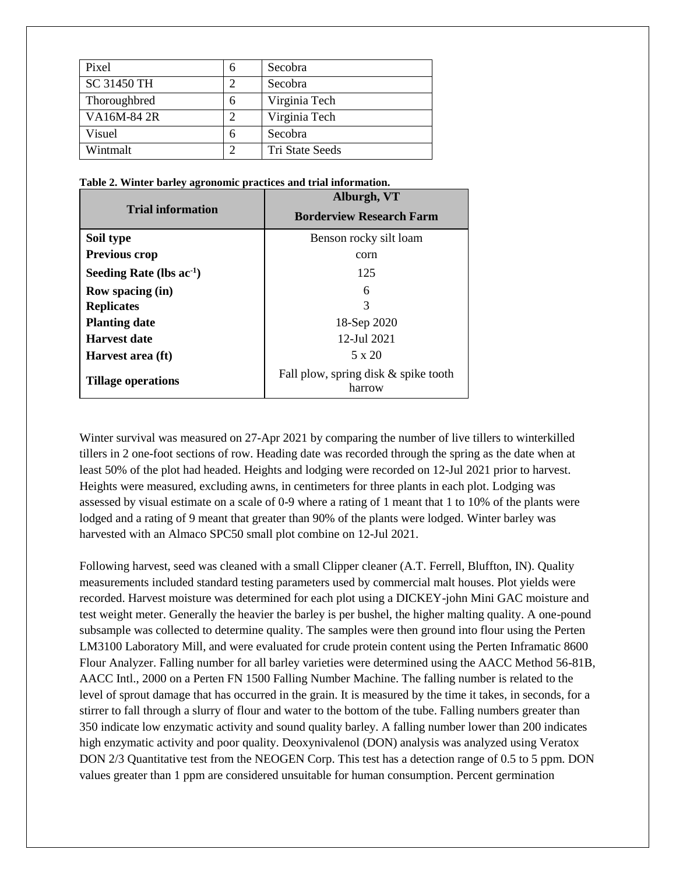| Pixel        | 6 | Secobra         |
|--------------|---|-----------------|
| SC 31450 TH  |   | Secobra         |
| Thoroughbred | 6 | Virginia Tech   |
| VA16M-84 2R  | 2 | Virginia Tech   |
| Visuel       | 6 | Secobra         |
| Wintmalt     | ⌒ | Tri State Seeds |

|  |  |  | Table 2. Winter barley agronomic practices and trial information. |  |
|--|--|--|-------------------------------------------------------------------|--|
|  |  |  |                                                                   |  |

|                               | Alburgh, VT                                    |  |  |  |  |
|-------------------------------|------------------------------------------------|--|--|--|--|
| <b>Trial information</b>      | <b>Borderview Research Farm</b>                |  |  |  |  |
| Soil type                     | Benson rocky silt loam                         |  |  |  |  |
| <b>Previous crop</b>          | corn                                           |  |  |  |  |
| Seeding Rate (lbs $ac^{-1}$ ) | 125                                            |  |  |  |  |
| Row spacing (in)              | 6                                              |  |  |  |  |
| <b>Replicates</b>             | 3                                              |  |  |  |  |
| <b>Planting date</b>          | 18-Sep 2020                                    |  |  |  |  |
| <b>Harvest date</b>           | 12-Jul 2021                                    |  |  |  |  |
| Harvest area (ft)             | $5 \times 20$                                  |  |  |  |  |
| <b>Tillage operations</b>     | Fall plow, spring disk & spike tooth<br>harrow |  |  |  |  |

Winter survival was measured on 27-Apr 2021 by comparing the number of live tillers to winterkilled tillers in 2 one-foot sections of row. Heading date was recorded through the spring as the date when at least 50% of the plot had headed. Heights and lodging were recorded on 12-Jul 2021 prior to harvest. Heights were measured, excluding awns, in centimeters for three plants in each plot. Lodging was assessed by visual estimate on a scale of 0-9 where a rating of 1 meant that 1 to 10% of the plants were lodged and a rating of 9 meant that greater than 90% of the plants were lodged. Winter barley was harvested with an Almaco SPC50 small plot combine on 12-Jul 2021.

Following harvest, seed was cleaned with a small Clipper cleaner (A.T. Ferrell, Bluffton, IN). Quality measurements included standard testing parameters used by commercial malt houses. Plot yields were recorded. Harvest moisture was determined for each plot using a DICKEY-john Mini GAC moisture and test weight meter. Generally the heavier the barley is per bushel, the higher malting quality. A one-pound subsample was collected to determine quality. The samples were then ground into flour using the Perten LM3100 Laboratory Mill, and were evaluated for crude protein content using the Perten Inframatic 8600 Flour Analyzer. Falling number for all barley varieties were determined using the AACC Method 56-81B, AACC Intl., 2000 on a Perten FN 1500 Falling Number Machine. The falling number is related to the level of sprout damage that has occurred in the grain. It is measured by the time it takes, in seconds, for a stirrer to fall through a slurry of flour and water to the bottom of the tube. Falling numbers greater than 350 indicate low enzymatic activity and sound quality barley. A falling number lower than 200 indicates high enzymatic activity and poor quality. Deoxynivalenol (DON) analysis was analyzed using Veratox DON 2/3 Quantitative test from the NEOGEN Corp. This test has a detection range of 0.5 to 5 ppm. DON values greater than 1 ppm are considered unsuitable for human consumption. Percent germination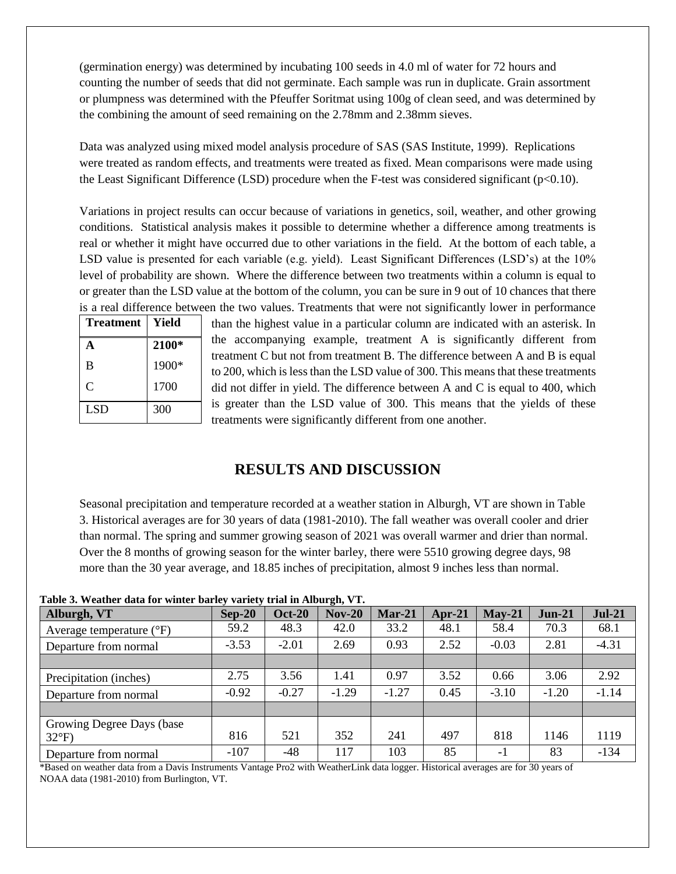(germination energy) was determined by incubating 100 seeds in 4.0 ml of water for 72 hours and counting the number of seeds that did not germinate. Each sample was run in duplicate. Grain assortment or plumpness was determined with the Pfeuffer Soritmat using 100g of clean seed, and was determined by the combining the amount of seed remaining on the 2.78mm and 2.38mm sieves.

Data was analyzed using mixed model analysis procedure of SAS (SAS Institute, 1999). Replications were treated as random effects, and treatments were treated as fixed. Mean comparisons were made using the Least Significant Difference (LSD) procedure when the F-test was considered significant ( $p<0.10$ ).

Variations in project results can occur because of variations in genetics, soil, weather, and other growing conditions. Statistical analysis makes it possible to determine whether a difference among treatments is real or whether it might have occurred due to other variations in the field. At the bottom of each table, a LSD value is presented for each variable (e.g. yield). Least Significant Differences (LSD's) at the 10% level of probability are shown. Where the difference between two treatments within a column is equal to or greater than the LSD value at the bottom of the column, you can be sure in 9 out of 10 chances that there is a real difference between the two values. Treatments that were not significantly lower in performance

| <b>Treatment</b> | Yield |
|------------------|-------|
| А                | 2100* |
| B                | 1900* |
| C                | 1700  |
| <b>LSD</b>       | 300   |

than the highest value in a particular column are indicated with an asterisk. In the accompanying example, treatment A is significantly different from treatment C but not from treatment B. The difference between A and B is equal to 200, which is less than the LSD value of 300. This means that these treatments did not differ in yield. The difference between A and C is equal to 400, which is greater than the LSD value of 300. This means that the yields of these treatments were significantly different from one another.

### **RESULTS AND DISCUSSION**

Seasonal precipitation and temperature recorded at a weather station in Alburgh, VT are shown in Table 3. Historical averages are for 30 years of data (1981-2010). The fall weather was overall cooler and drier than normal. The spring and summer growing season of 2021 was overall warmer and drier than normal. Over the 8 months of growing season for the winter barley, there were 5510 growing degree days, 98 more than the 30 year average, and 18.85 inches of precipitation, almost 9 inches less than normal.

| Alburgh, VT                         | $Sep-20$ | <b>Oct-20</b> | $Nov-20$ | $Mar-21$ | Apr- $21$ | $May-21$ | $Jun-21$ | <b>Jul-21</b> |
|-------------------------------------|----------|---------------|----------|----------|-----------|----------|----------|---------------|
| Average temperature $({}^{\circ}F)$ | 59.2     | 48.3          | 42.0     | 33.2     | 48.1      | 58.4     | 70.3     | 68.1          |
| Departure from normal               | $-3.53$  | $-2.01$       | 2.69     | 0.93     | 2.52      | $-0.03$  | 2.81     | $-4.31$       |
|                                     |          |               |          |          |           |          |          |               |
| Precipitation (inches)              | 2.75     | 3.56          | 1.41     | 0.97     | 3.52      | 0.66     | 3.06     | 2.92          |
| Departure from normal               | $-0.92$  | $-0.27$       | $-1.29$  | $-1.27$  | 0.45      | $-3.10$  | $-1.20$  | $-1.14$       |
|                                     |          |               |          |          |           |          |          |               |
| Growing Degree Days (base)          |          |               |          |          |           |          |          |               |
| $32^{\circ}F$                       | 816      | 521           | 352      | 241      | 497       | 818      | 1146     | 1119          |
| Departure from normal               | $-107$   | $-48$         | 117      | 103      | 85        | $-1$     | 83       | $-134$        |

**Table 3. Weather data for winter barley variety trial in Alburgh, VT.**

\*Based on weather data from a Davis Instruments Vantage Pro2 with WeatherLink data logger. Historical averages are for 30 years of NOAA data (1981-2010) from Burlington, VT.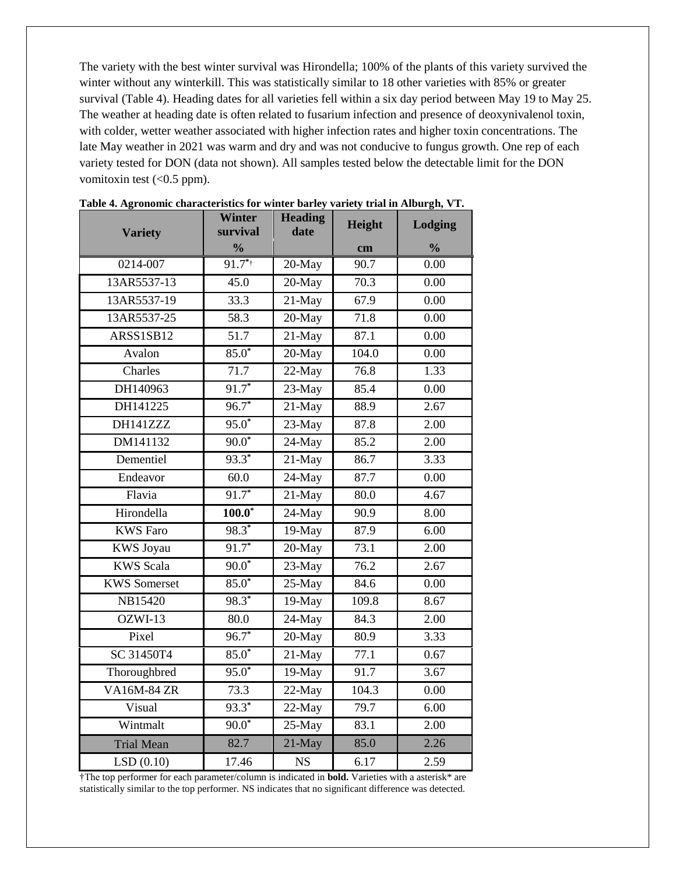The variety with the best winter survival was Hirondella; 100% of the plants of this variety survived the winter without any winterkill. This was statistically similar to 18 other varieties with 85% or greater survival (Table 4). Heading dates for all varieties fell within a six day period between May 19 to May 25. The weather at heading date is often related to fusarium infection and presence of deoxynivalenol toxin, with colder, wetter weather associated with higher infection rates and higher toxin concentrations. The late May weather in 2021 was warm and dry and was not conducive to fungus growth. One rep of each variety tested for DON (data not shown). All samples tested below the detectable limit for the DON vomitoxin test  $( $0.5$  ppm).$ 

|                     | Winter                    | <b>Heading</b><br>date | Height            | Lodging       |
|---------------------|---------------------------|------------------------|-------------------|---------------|
| <b>Variety</b>      | survival<br>$\frac{0}{0}$ |                        | cm                | $\frac{0}{0}$ |
| 0214-007            | $91.7**$                  | 20-May                 | 90.7              | 0.00          |
| 13AR5537-13         | 45.0                      | 20-May                 | 70.3              | 0.00          |
| 13AR5537-19         | 33.3                      | $21-May$               | 67.9              | 0.00          |
| 13AR5537-25         | 58.3                      | $20$ -May              | $\overline{71.8}$ | 0.00          |
| ARSS1SB12           | 51.7                      | 21-May                 | 87.1              | 0.00          |
| Avalon              | $85.0*$                   | 20-May                 | 104.0             | 0.00          |
| Charles             | 71.7                      | $22$ -May              | 76.8              | 1.33          |
| DH140963            | $91.7*$                   | 23-May                 | 85.4              | 0.00          |
| DH141225            | $96.7*$                   | 21-May                 | 88.9              | 2.67          |
| DH141ZZZ            | $95.0*$                   | $23-May$               | 87.8              | 2.00          |
| DM141132            | $90.0*$                   | 24-May                 | 85.2              | 2.00          |
| Dementiel           | $93.3*$                   | $21$ -May              | 86.7              | 3.33          |
| Endeavor            | 60.0                      | $24-May$               | 87.7              | 0.00          |
| Flavia              | $91.7*$                   | $21-May$               | 80.0              | 4.67          |
| Hirondella          | $100.0*$                  | $24$ -May              | 90.9              | 8.00          |
| <b>KWS Faro</b>     | $98.3*$                   | $19-May$               | 87.9              | 6.00          |
| <b>KWS</b> Joyau    | $91.7*$                   | 20-May                 | 73.1              | 2.00          |
| <b>KWS</b> Scala    | $90.0*$                   | $23$ -May              | 76.2              | 2.67          |
| <b>KWS</b> Somerset | $85.0*$                   | 25-May                 | 84.6              | 0.00          |
| NB15420             | $98.3*$                   | 19-May                 | 109.8             | 8.67          |
| OZWI-13             | 80.0                      | 24-May                 | 84.3              | 2.00          |
| Pixel               | $96.7*$                   | 20-May                 | 80.9              | 3.33          |
| SC 31450T4          | $85.0*$                   | 21-May                 | 77.1              | 0.67          |
| Thoroughbred        | $95.0*$                   | 19-May                 | 91.7              | 3.67          |
| <b>VA16M-84 ZR</b>  | 73.3                      | 22-May                 | 104.3             | 0.00          |
| Visual              | $93.3^*$                  | $22-May$               | 79.7              | 6.00          |
| Wintmalt            | $90.0*$                   | $25-May$               | 83.1              | 2.00          |
| <b>Trial Mean</b>   | 82.7                      | 21-May                 | 85.0              | 2.26          |
| LSD(0.10)           | 17.46                     | <b>NS</b>              | 6.17              | 2.59          |

 **Table 4. Agronomic characteristics for winter barley variety trial in Alburgh, VT.**

†The top performer for each parameter/column is indicated in **bold.** Varieties with a asterisk\* are statistically similar to the top performer. NS indicates that no significant difference was detected.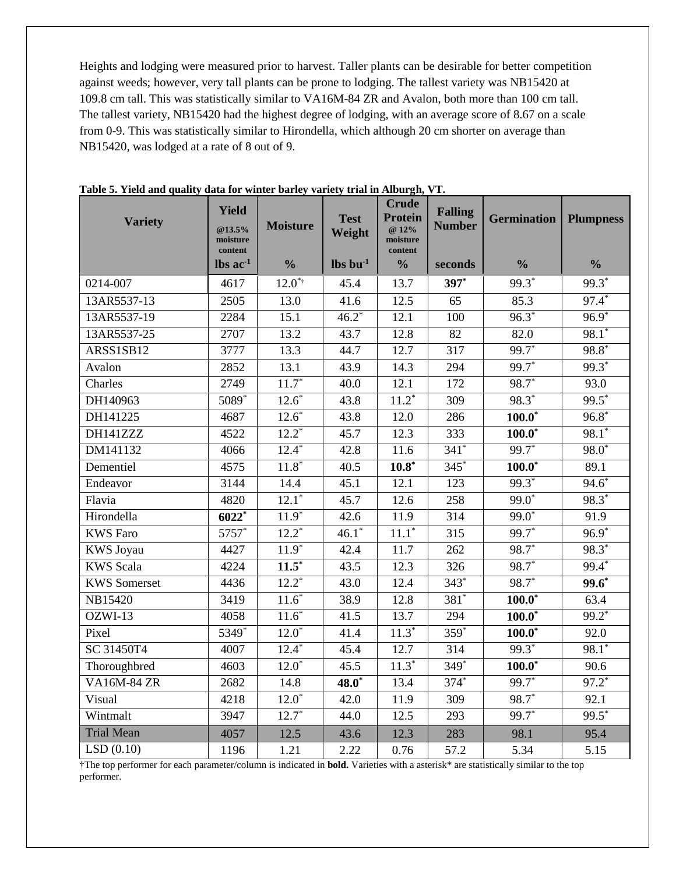Heights and lodging were measured prior to harvest. Taller plants can be desirable for better competition against weeds; however, very tall plants can be prone to lodging. The tallest variety was NB15420 at 109.8 cm tall. This was statistically similar to VA16M-84 ZR and Avalon, both more than 100 cm tall. The tallest variety, NB15420 had the highest degree of lodging, with an average score of 8.67 on a scale from 0-9. This was statistically similar to Hirondella, which although 20 cm shorter on average than NB15420, was lodged at a rate of 8 out of 9.

| <b>Variety</b>      | <b>Yield</b><br>@13.5%<br>moisture<br>content | <b>Moisture</b> | <b>Test</b><br>Weight          | <b>Crude</b><br><b>Protein</b><br>@ 12%<br>moisture<br>content | <b>Falling</b><br><b>Number</b> | <b>Germination</b> | <b>Plumpness</b>  |
|---------------------|-----------------------------------------------|-----------------|--------------------------------|----------------------------------------------------------------|---------------------------------|--------------------|-------------------|
|                     | $\text{lbs}$ ac <sup>-1</sup>                 | $\frac{0}{0}$   | $\mathbf{lbs}\mathbf{bu}^{-1}$ | $\frac{0}{0}$                                                  | seconds                         | $\frac{0}{0}$      | $\frac{0}{0}$     |
| 0214-007            | 4617                                          | $12.0**$        | 45.4                           | 13.7                                                           | $397*$                          | 99.3*              | 99.3 <sup>*</sup> |
| 13AR5537-13         | 2505                                          | 13.0            | 41.6                           | 12.5                                                           | 65                              | 85.3               | 97.4*             |
| 13AR5537-19         | 2284                                          | 15.1            | $46.2*$                        | 12.1                                                           | 100                             | $96.3*$            | $96.9*$           |
| 13AR5537-25         | 2707                                          | 13.2            | 43.7                           | 12.8                                                           | 82                              | 82.0               | $98.1*$           |
| ARSS1SB12           | 3777                                          | 13.3            | 44.7                           | 12.7                                                           | 317                             | $99.7$ *           | $98.8*$           |
| Avalon              | 2852                                          | 13.1            | 43.9                           | 14.3                                                           | 294                             | $99.7*$            | 99.3*             |
| Charles             | 2749                                          | $11.7*$         | 40.0                           | 12.1                                                           | 172                             | $98.7*$            | 93.0              |
| DH140963            | 5089*                                         | $12.6*$         | 43.8                           | $11.2*$                                                        | 309                             | $98.3*$            | $99.5*$           |
| DH141225            | 4687                                          | $12.6*$         | 43.8                           | 12.0                                                           | 286                             | $100.0*$           | $96.8*$           |
| DH141ZZZ            | 4522                                          | $12.2^*$        | 45.7                           | 12.3                                                           | 333                             | $100.0*$           | 98.1 <sup>*</sup> |
| DM141132            | 4066                                          | $12.4*$         | 42.8                           | 11.6                                                           | $341*$                          | $99.7$ *           | 98.0 <sup>*</sup> |
| Dementiel           | 4575                                          | $11.8*$         | $\overline{40.5}$              | $10.8*$                                                        | $345*$                          | $100.0*$           | 89.1              |
| Endeavor            | 3144                                          | 14.4            | 45.1                           | 12.1                                                           | 123                             | $99.3*$            | $94.6*$           |
| Flavia              | 4820                                          | $12.1*$         | 45.7                           | 12.6                                                           | 258                             | $99.0*$            | 98.3*             |
| Hirondella          | 6022*                                         | $11.9*$         | 42.6                           | 11.9                                                           | 314                             | $99.0*$            | 91.9              |
| <b>KWS Faro</b>     | $5757*$                                       | $12.2^*$        | $46.1*$                        | $11.1*$                                                        | 315                             | $99.7*$            | $96.9*$           |
| <b>KWS</b> Joyau    | 4427                                          | $11.9*$         | 42.4                           | 11.7                                                           | 262                             | $98.7*$            | $98.3*$           |
| <b>KWS</b> Scala    | 4224                                          | $11.5*$         | 43.5                           | 12.3                                                           | 326                             | 98.7*              | 99.4*             |
| <b>KWS</b> Somerset | 4436                                          | $12.2^*$        | 43.0                           | 12.4                                                           | $343*$                          | 98.7*              | $99.6^*$          |
| NB15420             | 3419                                          | $11.6*$         | 38.9                           | 12.8                                                           | 381*                            | $100.0*$           | 63.4              |
| OZWI-13             | 4058                                          | $11.6*$         | 41.5                           | 13.7                                                           | 294                             | $100.0*$           | $99.2$ *          |
| Pixel               | 5349*                                         | $12.0^*$        | 41.4                           | $11.3*$                                                        | $359*$                          | $100.0^*$          | 92.0              |
| SC 31450T4          | 4007                                          | $12.4*$         | 45.4                           | 12.7                                                           | 314                             | $99.3*$            | $98.1*$           |
| Thoroughbred        | 4603                                          | $12.0*$         | 45.5                           | $11.\overline{3}^*$                                            | 349*                            | $100.0*$           | 90.6              |
| <b>VA16M-84 ZR</b>  | 2682                                          | 14.8            | $48.0*$                        | 13.4                                                           | $374*$                          | 99.7*              | $97.2$ *          |
| Visual              | 4218                                          | $12.0^*$        | 42.0                           | 11.9                                                           | $\overline{309}$                | $98.7*$            | 92.1              |
| Wintmalt            | 3947                                          | $12.7*$         | 44.0                           | 12.5                                                           | 293                             | 99.7*              | $99.5*$           |
| <b>Trial Mean</b>   | 4057                                          | 12.5            | 43.6                           | 12.3                                                           | 283                             | 98.1               | 95.4              |
| LSD(0.10)           | 1196                                          | 1.21            | 2.22                           | 0.76                                                           | 57.2                            | 5.34               | 5.15              |

| Table 5. Yield and quality data for winter barley variety trial in Alburgh, VT. |  |  |  |  |  |
|---------------------------------------------------------------------------------|--|--|--|--|--|
|---------------------------------------------------------------------------------|--|--|--|--|--|

†The top performer for each parameter/column is indicated in **bold.** Varieties with a asterisk\* are statistically similar to the top performer.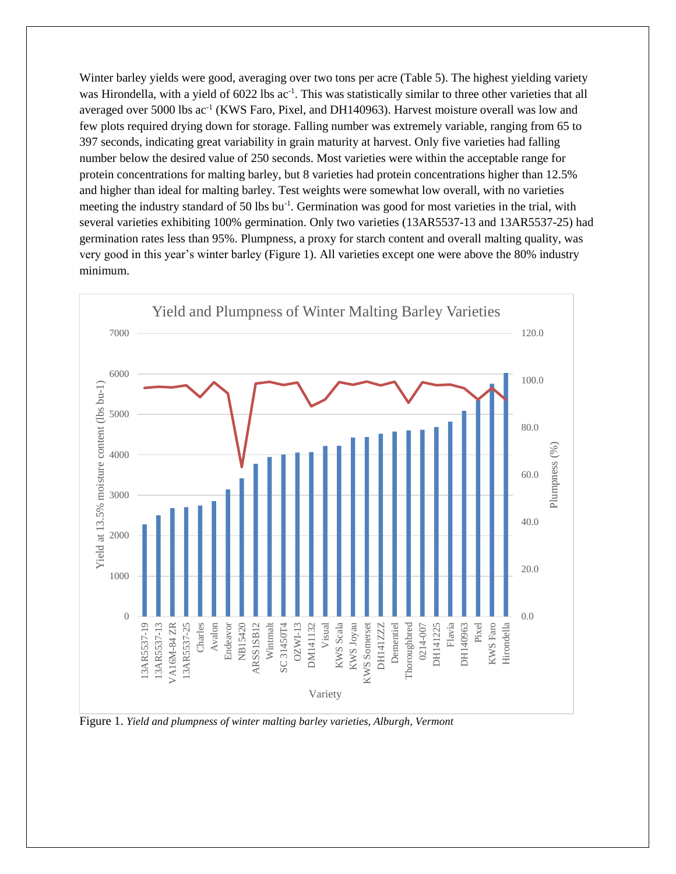Winter barley yields were good, averaging over two tons per acre (Table 5). The highest yielding variety was Hirondella, with a yield of 6022 lbs ac<sup>-1</sup>. This was statistically similar to three other varieties that all averaged over 5000 lbs ac<sup>-1</sup> (KWS Faro, Pixel, and DH140963). Harvest moisture overall was low and few plots required drying down for storage. Falling number was extremely variable, ranging from 65 to 397 seconds, indicating great variability in grain maturity at harvest. Only five varieties had falling number below the desired value of 250 seconds. Most varieties were within the acceptable range for protein concentrations for malting barley, but 8 varieties had protein concentrations higher than 12.5% and higher than ideal for malting barley. Test weights were somewhat low overall, with no varieties meeting the industry standard of 50 lbs bu<sup>-1</sup>. Germination was good for most varieties in the trial, with several varieties exhibiting 100% germination. Only two varieties (13AR5537-13 and 13AR5537-25) had germination rates less than 95%. Plumpness, a proxy for starch content and overall malting quality, was very good in this year's winter barley (Figure 1). All varieties except one were above the 80% industry minimum.



Figure 1. *Yield and plumpness of winter malting barley varieties, Alburgh, Vermont*